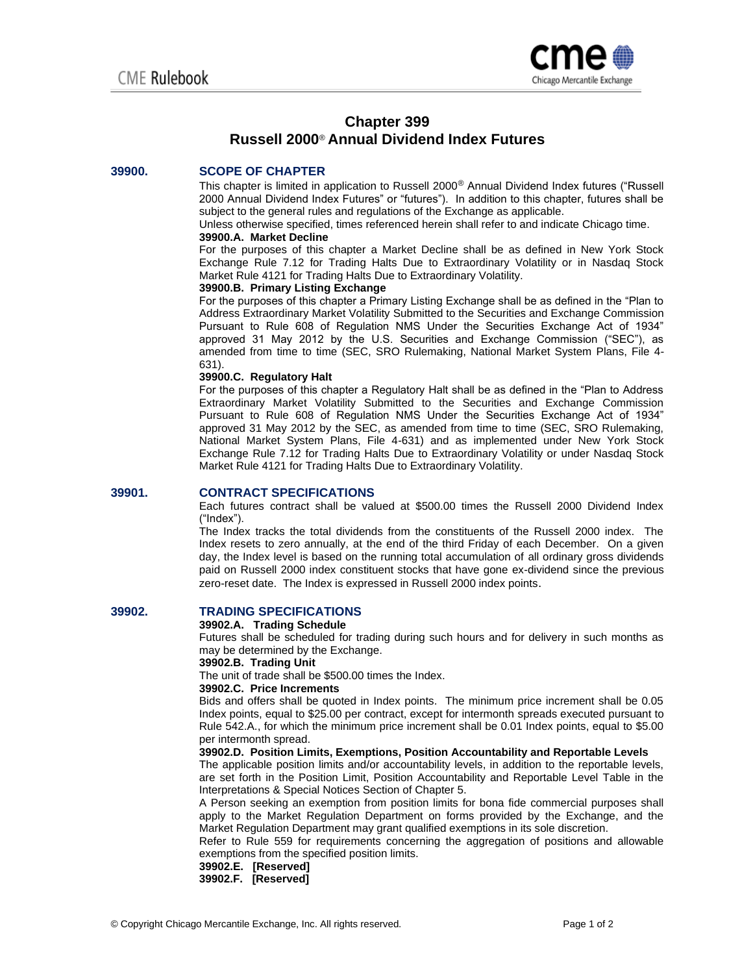

# **Chapter 399 Russell 2000**® **Annual Dividend Index Futures**

# **39900. SCOPE OF CHAPTER**

This chapter is limited in application to Russell 2000® Annual Dividend Index futures ("Russell 2000 Annual Dividend Index Futures" or "futures"). In addition to this chapter, futures shall be subject to the general rules and regulations of the Exchange as applicable.

Unless otherwise specified, times referenced herein shall refer to and indicate Chicago time.

# **39900.A. Market Decline**

For the purposes of this chapter a Market Decline shall be as defined in New York Stock Exchange Rule 7.12 for Trading Halts Due to Extraordinary Volatility or in Nasdaq Stock Market Rule 4121 for Trading Halts Due to Extraordinary Volatility.

## **39900.B. Primary Listing Exchange**

For the purposes of this chapter a Primary Listing Exchange shall be as defined in the "Plan to Address Extraordinary Market Volatility Submitted to the Securities and Exchange Commission Pursuant to Rule 608 of Regulation NMS Under the Securities Exchange Act of 1934" approved 31 May 2012 by the U.S. Securities and Exchange Commission ("SEC"), as amended from time to time (SEC, SRO Rulemaking, National Market System Plans, File 4- 631).

## **39900.C. Regulatory Halt**

For the purposes of this chapter a Regulatory Halt shall be as defined in the "Plan to Address Extraordinary Market Volatility Submitted to the Securities and Exchange Commission Pursuant to Rule 608 of Regulation NMS Under the Securities Exchange Act of 1934" approved 31 May 2012 by the SEC, as amended from time to time (SEC, SRO Rulemaking, National Market System Plans, File 4-631) and as implemented under New York Stock Exchange Rule 7.12 for Trading Halts Due to Extraordinary Volatility or under Nasdaq Stock Market Rule 4121 for Trading Halts Due to Extraordinary Volatility.

## **39901. CONTRACT SPECIFICATIONS**

Each futures contract shall be valued at \$500.00 times the Russell 2000 Dividend Index ("Index").

The Index tracks the total dividends from the constituents of the Russell 2000 index. The Index resets to zero annually, at the end of the third Friday of each December. On a given day, the Index level is based on the running total accumulation of all ordinary gross dividends paid on Russell 2000 index constituent stocks that have gone ex-dividend since the previous zero-reset date. The Index is expressed in Russell 2000 index points.

# **39902. TRADING SPECIFICATIONS**

#### **39902.A. Trading Schedule**

Futures shall be scheduled for trading during such hours and for delivery in such months as may be determined by the Exchange.

**39902.B. Trading Unit**

The unit of trade shall be \$500.00 times the Index.

**39902.C. Price Increments**

Bids and offers shall be quoted in Index points. The minimum price increment shall be 0.05 Index points, equal to \$25.00 per contract, except for intermonth spreads executed pursuant to Rule 542.A., for which the minimum price increment shall be 0.01 Index points, equal to \$5.00 per intermonth spread.

## **39902.D. Position Limits, Exemptions, Position Accountability and Reportable Levels**

The applicable position limits and/or accountability levels, in addition to the reportable levels, are set forth in the Position Limit, Position Accountability and Reportable Level Table in the Interpretations & Special Notices Section of Chapter 5.

A Person seeking an exemption from position limits for bona fide commercial purposes shall apply to the Market Regulation Department on forms provided by the Exchange, and the Market Regulation Department may grant qualified exemptions in its sole discretion.

Refer to Rule 559 for requirements concerning the aggregation of positions and allowable exemptions from the specified position limits.

**39902.E. [Reserved]**

**39902.F. [Reserved]**